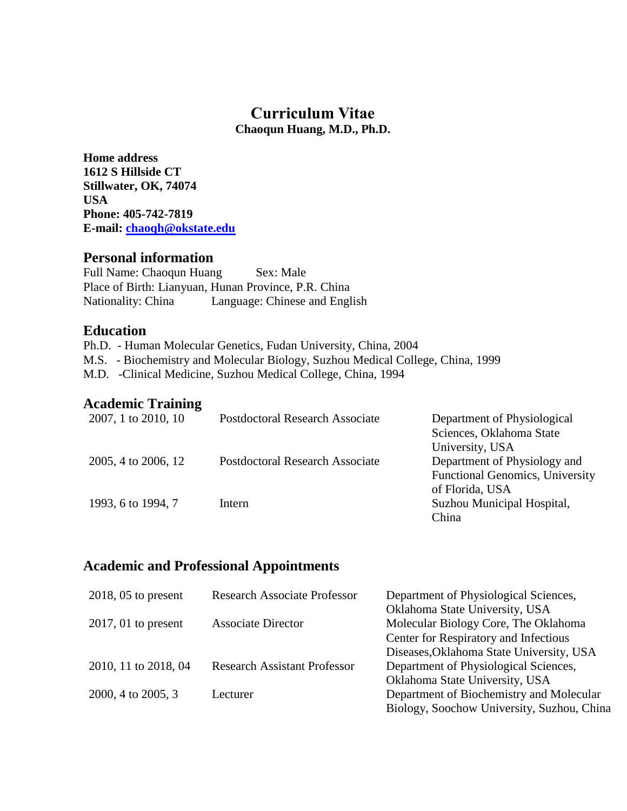## **Curriculum Vitae Chaoqun Huang, M.D., Ph.D.**

**Home address 1612 S Hillside CT Stillwater, OK, 74074 USA Phone: 405-742-7819 E-mail: [chaoqh@okstate.edu](mailto:chaoqh@okstate.edu)**

### **Personal information**

Full Name: Chaoqun Huang Sex: Male Place of Birth: Lianyuan, Hunan Province, P.R. China Nationality: China Language: Chinese and English

### **Education**

Ph.D. - Human Molecular Genetics, Fudan University, China, 2004 M.S. - Biochemistry and Molecular Biology, Suzhou Medical College, China, 1999 M.D. -Clinical Medicine, Suzhou Medical College, China, 1994

### **Academic Training**

| 2007, 1 to 2010, 10 | <b>Postdoctoral Research Associate</b> | Department of Physiological            |
|---------------------|----------------------------------------|----------------------------------------|
|                     |                                        | Sciences, Oklahoma State               |
|                     |                                        | University, USA                        |
| 2005, 4 to 2006, 12 | <b>Postdoctoral Research Associate</b> | Department of Physiology and           |
|                     |                                        | <b>Functional Genomics, University</b> |
|                     |                                        | of Florida, USA                        |
| 1993, 6 to 1994, 7  | Intern                                 | Suzhou Municipal Hospital,             |
|                     |                                        | China                                  |

### **Academic and Professional Appointments**

| $2018$ , 05 to present | <b>Research Associate Professor</b> | Department of Physiological Sciences,      |
|------------------------|-------------------------------------|--------------------------------------------|
|                        |                                     | Oklahoma State University, USA             |
| $2017,01$ to present   | <b>Associate Director</b>           | Molecular Biology Core, The Oklahoma       |
|                        |                                     | Center for Respiratory and Infectious      |
|                        |                                     | Diseases, Oklahoma State University, USA   |
| 2010, 11 to 2018, 04   | <b>Research Assistant Professor</b> | Department of Physiological Sciences,      |
|                        |                                     | Oklahoma State University, USA             |
| 2000, 4 to 2005, 3     | Lecturer                            | Department of Biochemistry and Molecular   |
|                        |                                     | Biology, Soochow University, Suzhou, China |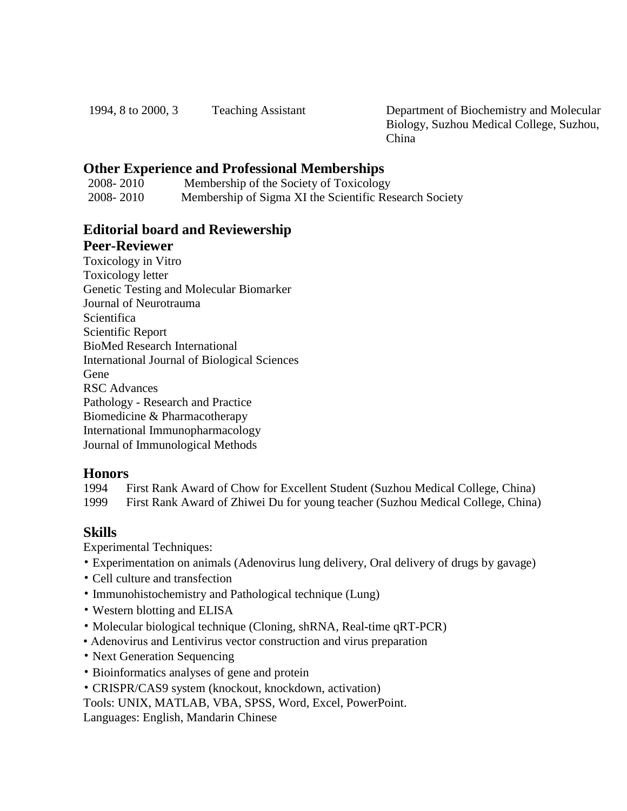1994, 8 to 2000, 3 Teaching Assistant Department of Biochemistry and Molecular Biology, Suzhou Medical College, Suzhou, China

## **Other Experience and Professional Memberships**

2008- 2010 Membership of the Society of Toxicology 2008- 2010 Membership of Sigma XI the Scientific Research Society

# **Editorial board and Reviewership Peer-Reviewer**

Toxicology in Vitro Toxicology letter Genetic Testing and Molecular Biomarker Journal of Neurotrauma **Scientifica** Scientific Report BioMed Research International International Journal of Biological Sciences **Gene** RSC Advances Pathology - Research and Practice Biomedicine & Pharmacotherapy International Immunopharmacology Journal of Immunological Methods

## **Honors**

1994 First Rank Award of Chow for Excellent Student (Suzhou Medical College, China) 1999 First Rank Award of Zhiwei Du for young teacher (Suzhou Medical College, China)

## **Skills**

Experimental Techniques:

- Experimentation on animals (Adenovirus lung delivery, Oral delivery of drugs by gavage)
- Cell culture and transfection
- Immunohistochemistry and Pathological technique (Lung)
- Western blotting and ELISA
- Molecular biological technique (Cloning, shRNA, Real-time qRT-PCR)
- Adenovirus and Lentivirus vector construction and virus preparation
- Next Generation Sequencing
- Bioinformatics analyses of gene and protein
- CRISPR/CAS9 system (knockout, knockdown, activation)

Tools: UNIX, MATLAB, VBA, SPSS, Word, Excel, PowerPoint.

Languages: English, Mandarin Chinese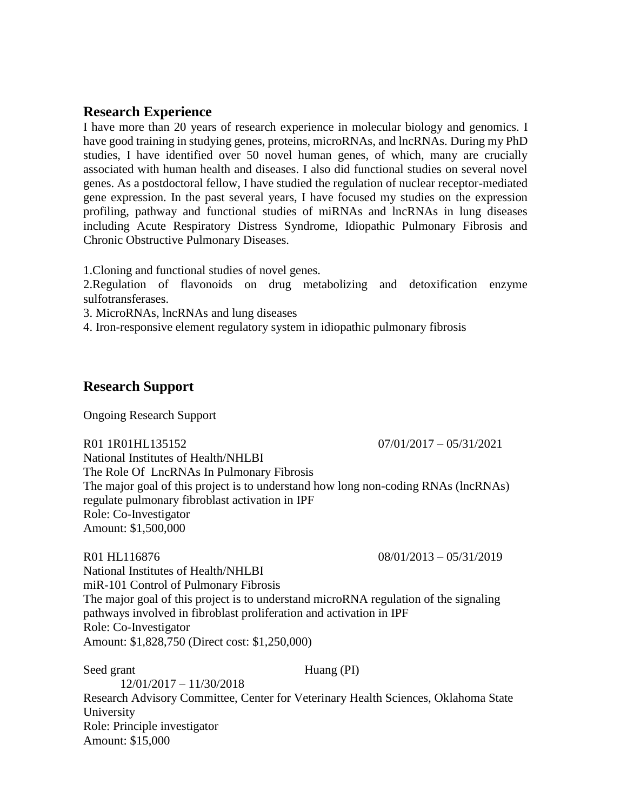### **Research Experience**

I have more than 20 years of research experience in molecular biology and genomics. I have good training in studying genes, proteins, microRNAs, and lncRNAs. During my PhD studies, I have identified over 50 novel human genes, of which, many are crucially associated with human health and diseases. I also did functional studies on several novel genes. As a postdoctoral fellow, I have studied the regulation of nuclear receptor-mediated gene expression. In the past several years, I have focused my studies on the expression profiling, pathway and functional studies of miRNAs and lncRNAs in lung diseases including Acute Respiratory Distress Syndrome, Idiopathic Pulmonary Fibrosis and Chronic Obstructive Pulmonary Diseases.

1.Cloning and functional studies of novel genes.

2.Regulation of flavonoids on drug metabolizing and detoxification enzyme sulfotransferases.

3. MicroRNAs, lncRNAs and lung diseases

4. Iron-responsive element regulatory system in idiopathic pulmonary fibrosis

## **Research Support**

Ongoing Research Support

R01 1R01HL135152 07/01/2017 – 05/31/2021 National Institutes of Health/NHLBI The Role Of LncRNAs In Pulmonary Fibrosis The major goal of this project is to understand how long non-coding RNAs (lncRNAs) regulate pulmonary fibroblast activation in IPF Role: Co-Investigator Amount: \$1,500,000

R01 HL116876 08/01/2013 – 05/31/2019 National Institutes of Health/NHLBI miR-101 Control of Pulmonary Fibrosis The major goal of this project is to understand microRNA regulation of the signaling pathways involved in fibroblast proliferation and activation in IPF Role: Co-Investigator Amount: \$1,828,750 (Direct cost: \$1,250,000)

Seed grant Huang (PI) 12/01/2017 – 11/30/2018 Research Advisory Committee, Center for Veterinary Health Sciences, Oklahoma State University Role: Principle investigator Amount: \$15,000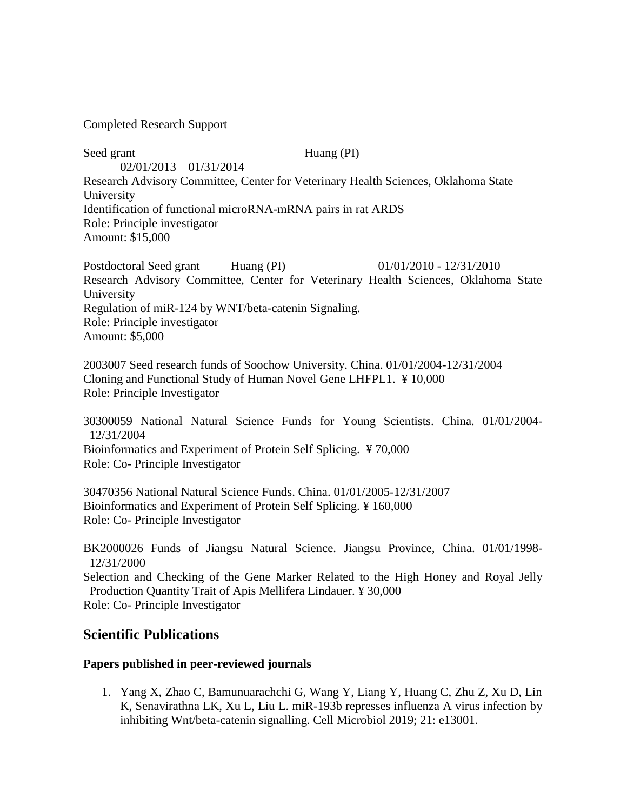Completed Research Support

Seed grant Huang (PI) 02/01/2013 – 01/31/2014 Research Advisory Committee, Center for Veterinary Health Sciences, Oklahoma State University Identification of functional microRNA-mRNA pairs in rat ARDS Role: Principle investigator Amount: \$15,000

Postdoctoral Seed grant Huang (PI) 01/01/2010 - 12/31/2010 Research Advisory Committee, Center for Veterinary Health Sciences, Oklahoma State University Regulation of miR-124 by WNT/beta-catenin Signaling. Role: Principle investigator Amount: \$5,000

2003007 Seed research funds of Soochow University. China. 01/01/2004-12/31/2004 Cloning and Functional Study of Human Novel Gene LHFPL1. ¥ 10,000 Role: Principle Investigator

30300059 National Natural Science Funds for Young Scientists. China. 01/01/2004- 12/31/2004

Bioinformatics and Experiment of Protein Self Splicing. ¥ 70,000 Role: Co- Principle Investigator

30470356 National Natural Science Funds. China. 01/01/2005-12/31/2007 Bioinformatics and Experiment of Protein Self Splicing. ¥ 160,000 Role: Co- Principle Investigator

BK2000026 Funds of Jiangsu Natural Science. Jiangsu Province, China. 01/01/1998- 12/31/2000 Selection and Checking of the Gene Marker Related to the High Honey and Royal Jelly Production Quantity Trait of Apis Mellifera Lindauer. ¥ 30,000 Role: Co- Principle Investigator

## **Scientific Publications**

### **Papers published in peer-reviewed journals**

1. Yang X, Zhao C, Bamunuarachchi G, Wang Y, Liang Y, Huang C, Zhu Z, Xu D, Lin K, Senavirathna LK, Xu L, Liu L. miR-193b represses influenza A virus infection by inhibiting Wnt/beta-catenin signalling. Cell Microbiol 2019; 21: e13001.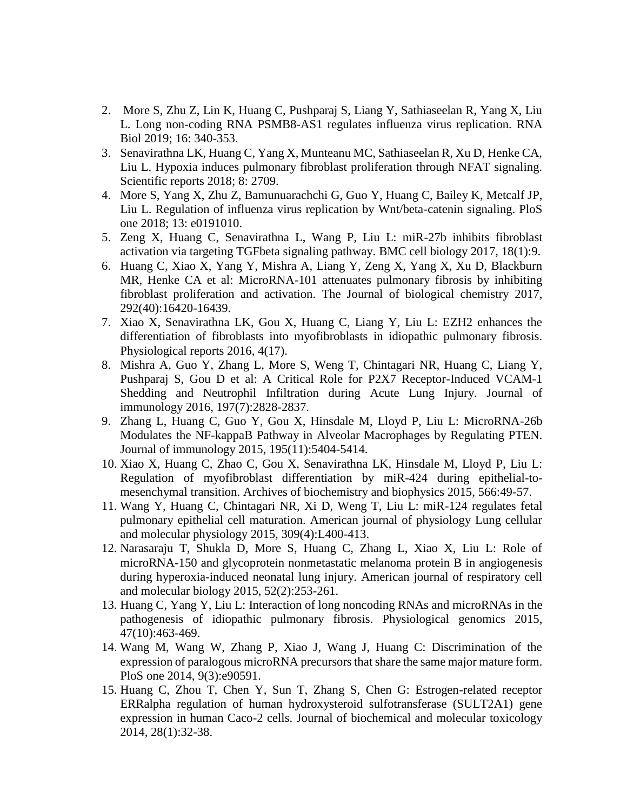- 2. More S, Zhu Z, Lin K, Huang C, Pushparaj S, Liang Y, Sathiaseelan R, Yang X, Liu L. Long non-coding RNA PSMB8-AS1 regulates influenza virus replication. RNA Biol 2019; 16: 340-353.
- 3. Senavirathna LK, Huang C, Yang X, Munteanu MC, Sathiaseelan R, Xu D, Henke CA, Liu L. Hypoxia induces pulmonary fibroblast proliferation through NFAT signaling. Scientific reports 2018; 8: 2709.
- 4. More S, Yang X, Zhu Z, Bamunuarachchi G, Guo Y, Huang C, Bailey K, Metcalf JP, Liu L. Regulation of influenza virus replication by Wnt/beta-catenin signaling. PloS one 2018; 13: e0191010.
- 5. Zeng X, Huang C, Senavirathna L, Wang P, Liu L: miR-27b inhibits fibroblast activation via targeting TGFbeta signaling pathway. BMC cell biology 2017, 18(1):9.
- 6. Huang C, Xiao X, Yang Y, Mishra A, Liang Y, Zeng X, Yang X, Xu D, Blackburn MR, Henke CA et al: MicroRNA-101 attenuates pulmonary fibrosis by inhibiting fibroblast proliferation and activation. The Journal of biological chemistry 2017, 292(40):16420-16439.
- 7. Xiao X, Senavirathna LK, Gou X, Huang C, Liang Y, Liu L: EZH2 enhances the differentiation of fibroblasts into myofibroblasts in idiopathic pulmonary fibrosis. Physiological reports 2016, 4(17).
- 8. Mishra A, Guo Y, Zhang L, More S, Weng T, Chintagari NR, Huang C, Liang Y, Pushparaj S, Gou D et al: A Critical Role for P2X7 Receptor-Induced VCAM-1 Shedding and Neutrophil Infiltration during Acute Lung Injury. Journal of immunology 2016, 197(7):2828-2837.
- 9. Zhang L, Huang C, Guo Y, Gou X, Hinsdale M, Lloyd P, Liu L: MicroRNA-26b Modulates the NF-kappaB Pathway in Alveolar Macrophages by Regulating PTEN. Journal of immunology 2015, 195(11):5404-5414.
- 10. Xiao X, Huang C, Zhao C, Gou X, Senavirathna LK, Hinsdale M, Lloyd P, Liu L: Regulation of myofibroblast differentiation by miR-424 during epithelial-tomesenchymal transition. Archives of biochemistry and biophysics 2015, 566:49-57.
- 11. Wang Y, Huang C, Chintagari NR, Xi D, Weng T, Liu L: miR-124 regulates fetal pulmonary epithelial cell maturation. American journal of physiology Lung cellular and molecular physiology 2015, 309(4):L400-413.
- 12. Narasaraju T, Shukla D, More S, Huang C, Zhang L, Xiao X, Liu L: Role of microRNA-150 and glycoprotein nonmetastatic melanoma protein B in angiogenesis during hyperoxia-induced neonatal lung injury. American journal of respiratory cell and molecular biology 2015, 52(2):253-261.
- 13. Huang C, Yang Y, Liu L: Interaction of long noncoding RNAs and microRNAs in the pathogenesis of idiopathic pulmonary fibrosis. Physiological genomics 2015, 47(10):463-469.
- 14. Wang M, Wang W, Zhang P, Xiao J, Wang J, Huang C: Discrimination of the expression of paralogous microRNA precursors that share the same major mature form. PloS one 2014, 9(3):e90591.
- 15. Huang C, Zhou T, Chen Y, Sun T, Zhang S, Chen G: Estrogen-related receptor ERRalpha regulation of human hydroxysteroid sulfotransferase (SULT2A1) gene expression in human Caco-2 cells. Journal of biochemical and molecular toxicology 2014, 28(1):32-38.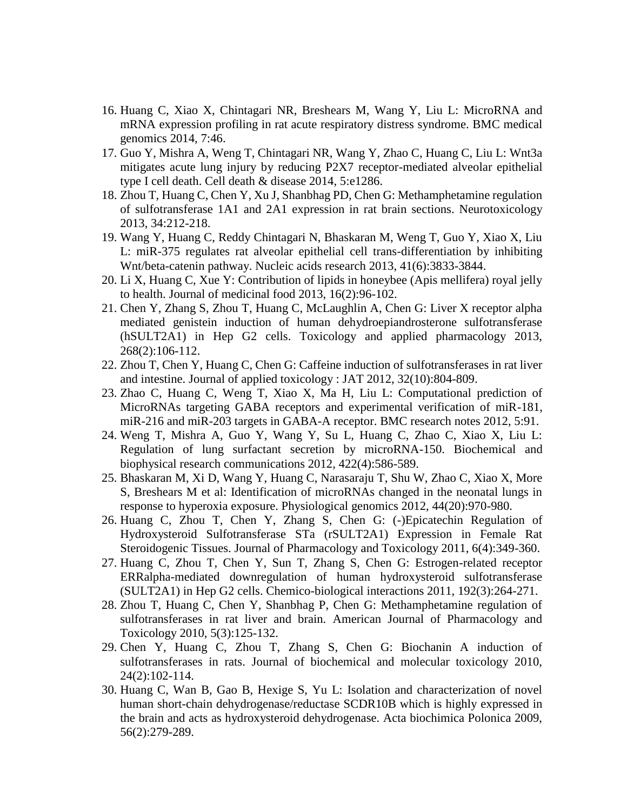- 16. Huang C, Xiao X, Chintagari NR, Breshears M, Wang Y, Liu L: MicroRNA and mRNA expression profiling in rat acute respiratory distress syndrome. BMC medical genomics 2014, 7:46.
- 17. Guo Y, Mishra A, Weng T, Chintagari NR, Wang Y, Zhao C, Huang C, Liu L: Wnt3a mitigates acute lung injury by reducing P2X7 receptor-mediated alveolar epithelial type I cell death. Cell death & disease 2014, 5:e1286.
- 18. Zhou T, Huang C, Chen Y, Xu J, Shanbhag PD, Chen G: Methamphetamine regulation of sulfotransferase 1A1 and 2A1 expression in rat brain sections. Neurotoxicology 2013, 34:212-218.
- 19. Wang Y, Huang C, Reddy Chintagari N, Bhaskaran M, Weng T, Guo Y, Xiao X, Liu L: miR-375 regulates rat alveolar epithelial cell trans-differentiation by inhibiting Wnt/beta-catenin pathway. Nucleic acids research 2013, 41(6):3833-3844.
- 20. Li X, Huang C, Xue Y: Contribution of lipids in honeybee (Apis mellifera) royal jelly to health. Journal of medicinal food 2013, 16(2):96-102.
- 21. Chen Y, Zhang S, Zhou T, Huang C, McLaughlin A, Chen G: Liver X receptor alpha mediated genistein induction of human dehydroepiandrosterone sulfotransferase (hSULT2A1) in Hep G2 cells. Toxicology and applied pharmacology 2013, 268(2):106-112.
- 22. Zhou T, Chen Y, Huang C, Chen G: Caffeine induction of sulfotransferases in rat liver and intestine. Journal of applied toxicology : JAT 2012, 32(10):804-809.
- 23. Zhao C, Huang C, Weng T, Xiao X, Ma H, Liu L: Computational prediction of MicroRNAs targeting GABA receptors and experimental verification of miR-181, miR-216 and miR-203 targets in GABA-A receptor. BMC research notes 2012, 5:91.
- 24. Weng T, Mishra A, Guo Y, Wang Y, Su L, Huang C, Zhao C, Xiao X, Liu L: Regulation of lung surfactant secretion by microRNA-150. Biochemical and biophysical research communications 2012, 422(4):586-589.
- 25. Bhaskaran M, Xi D, Wang Y, Huang C, Narasaraju T, Shu W, Zhao C, Xiao X, More S, Breshears M et al: Identification of microRNAs changed in the neonatal lungs in response to hyperoxia exposure. Physiological genomics 2012, 44(20):970-980.
- 26. Huang C, Zhou T, Chen Y, Zhang S, Chen G: (-)Epicatechin Regulation of Hydroxysteroid Sulfotransferase STa (rSULT2A1) Expression in Female Rat Steroidogenic Tissues. Journal of Pharmacology and Toxicology 2011, 6(4):349-360.
- 27. Huang C, Zhou T, Chen Y, Sun T, Zhang S, Chen G: Estrogen-related receptor ERRalpha-mediated downregulation of human hydroxysteroid sulfotransferase (SULT2A1) in Hep G2 cells. Chemico-biological interactions 2011, 192(3):264-271.
- 28. Zhou T, Huang C, Chen Y, Shanbhag P, Chen G: Methamphetamine regulation of sulfotransferases in rat liver and brain. American Journal of Pharmacology and Toxicology 2010, 5(3):125-132.
- 29. Chen Y, Huang C, Zhou T, Zhang S, Chen G: Biochanin A induction of sulfotransferases in rats. Journal of biochemical and molecular toxicology 2010, 24(2):102-114.
- 30. Huang C, Wan B, Gao B, Hexige S, Yu L: Isolation and characterization of novel human short-chain dehydrogenase/reductase SCDR10B which is highly expressed in the brain and acts as hydroxysteroid dehydrogenase. Acta biochimica Polonica 2009, 56(2):279-289.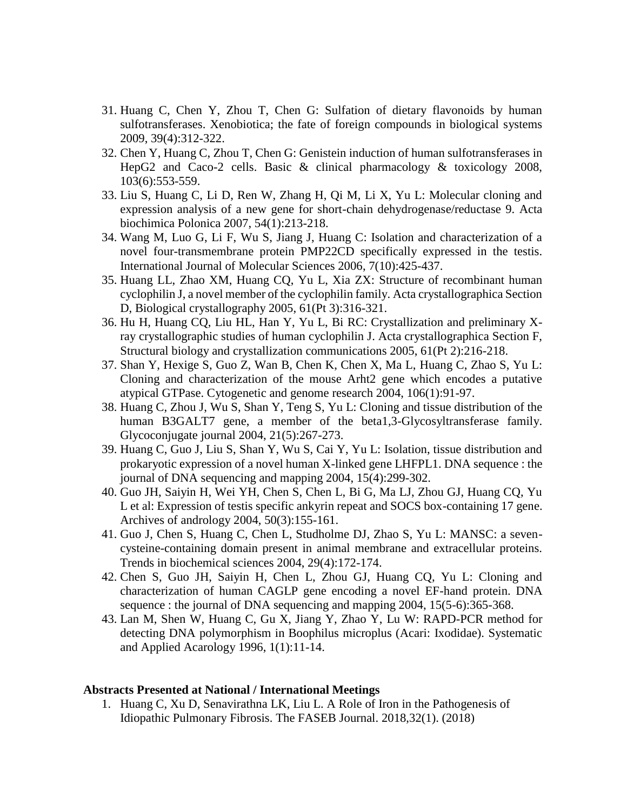- 31. Huang C, Chen Y, Zhou T, Chen G: Sulfation of dietary flavonoids by human sulfotransferases. Xenobiotica; the fate of foreign compounds in biological systems 2009, 39(4):312-322.
- 32. Chen Y, Huang C, Zhou T, Chen G: Genistein induction of human sulfotransferases in HepG2 and Caco-2 cells. Basic & clinical pharmacology & toxicology 2008, 103(6):553-559.
- 33. Liu S, Huang C, Li D, Ren W, Zhang H, Qi M, Li X, Yu L: Molecular cloning and expression analysis of a new gene for short-chain dehydrogenase/reductase 9. Acta biochimica Polonica 2007, 54(1):213-218.
- 34. Wang M, Luo G, Li F, Wu S, Jiang J, Huang C: Isolation and characterization of a novel four-transmembrane protein PMP22CD specifically expressed in the testis. International Journal of Molecular Sciences 2006, 7(10):425-437.
- 35. Huang LL, Zhao XM, Huang CQ, Yu L, Xia ZX: Structure of recombinant human cyclophilin J, a novel member of the cyclophilin family. Acta crystallographica Section D, Biological crystallography 2005, 61(Pt 3):316-321.
- 36. Hu H, Huang CQ, Liu HL, Han Y, Yu L, Bi RC: Crystallization and preliminary Xray crystallographic studies of human cyclophilin J. Acta crystallographica Section F, Structural biology and crystallization communications 2005, 61(Pt 2):216-218.
- 37. Shan Y, Hexige S, Guo Z, Wan B, Chen K, Chen X, Ma L, Huang C, Zhao S, Yu L: Cloning and characterization of the mouse Arht2 gene which encodes a putative atypical GTPase. Cytogenetic and genome research 2004, 106(1):91-97.
- 38. Huang C, Zhou J, Wu S, Shan Y, Teng S, Yu L: Cloning and tissue distribution of the human B3GALT7 gene, a member of the beta1,3-Glycosyltransferase family. Glycoconjugate journal 2004, 21(5):267-273.
- 39. Huang C, Guo J, Liu S, Shan Y, Wu S, Cai Y, Yu L: Isolation, tissue distribution and prokaryotic expression of a novel human X-linked gene LHFPL1. DNA sequence : the journal of DNA sequencing and mapping 2004, 15(4):299-302.
- 40. Guo JH, Saiyin H, Wei YH, Chen S, Chen L, Bi G, Ma LJ, Zhou GJ, Huang CQ, Yu L et al: Expression of testis specific ankyrin repeat and SOCS box-containing 17 gene. Archives of andrology 2004, 50(3):155-161.
- 41. Guo J, Chen S, Huang C, Chen L, Studholme DJ, Zhao S, Yu L: MANSC: a sevencysteine-containing domain present in animal membrane and extracellular proteins. Trends in biochemical sciences 2004, 29(4):172-174.
- 42. Chen S, Guo JH, Saiyin H, Chen L, Zhou GJ, Huang CQ, Yu L: Cloning and characterization of human CAGLP gene encoding a novel EF-hand protein. DNA sequence : the journal of DNA sequencing and mapping 2004, 15(5-6):365-368.
- 43. Lan M, Shen W, Huang C, Gu X, Jiang Y, Zhao Y, Lu W: RAPD-PCR method for detecting DNA polymorphism in Boophilus microplus (Acari: Ixodidae). Systematic and Applied Acarology 1996, 1(1):11-14.

#### **Abstracts Presented at National / International Meetings**

1. Huang C, Xu D, Senavirathna LK, Liu L. A Role of Iron in the Pathogenesis of Idiopathic Pulmonary Fibrosis. The FASEB Journal. 2018,32(1). (2018)